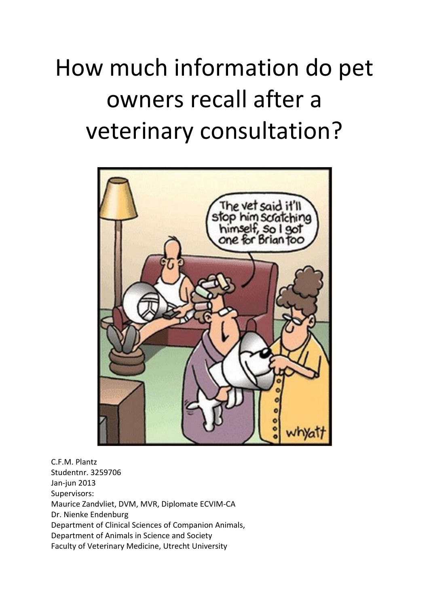# How much information do pet owners recall after a veterinary consultation?



C.F.M. Plantz Studentnr. 3259706 Jan-jun 2013 Supervisors: Maurice Zandvliet, DVM, MVR, Diplomate ECVIM-CA Dr. Nienke Endenburg Department of Clinical Sciences of Companion Animals, Department of Animals in Science and Society Faculty of Veterinary Medicine, Utrecht University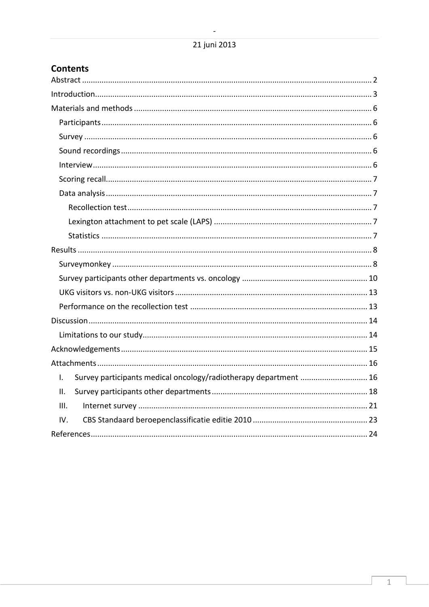| <b>Contents</b>                                                        |  |
|------------------------------------------------------------------------|--|
|                                                                        |  |
|                                                                        |  |
|                                                                        |  |
|                                                                        |  |
|                                                                        |  |
|                                                                        |  |
|                                                                        |  |
|                                                                        |  |
|                                                                        |  |
|                                                                        |  |
|                                                                        |  |
|                                                                        |  |
|                                                                        |  |
|                                                                        |  |
|                                                                        |  |
|                                                                        |  |
|                                                                        |  |
|                                                                        |  |
|                                                                        |  |
|                                                                        |  |
|                                                                        |  |
| Survey participants medical oncology/radiotherapy department  16<br>I. |  |
| ΙΙ.                                                                    |  |
| III.                                                                   |  |
| IV.                                                                    |  |
|                                                                        |  |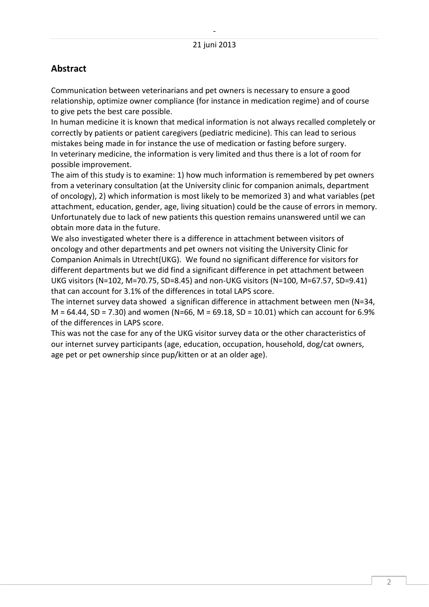# <span id="page-2-0"></span>**Abstract**

Communication between veterinarians and pet owners is necessary to ensure a good relationship, optimize owner compliance (for instance in medication regime) and of course to give pets the best care possible.

In human medicine it is known that medical information is not always recalled completely or correctly by patients or patient caregivers (pediatric medicine). This can lead to serious mistakes being made in for instance the use of medication or fasting before surgery. In veterinary medicine, the information is very limited and thus there is a lot of room for possible improvement.

The aim of this study is to examine: 1) how much information is remembered by pet owners from a veterinary consultation (at the University clinic for companion animals, department of oncology), 2) which information is most likely to be memorized 3) and what variables (pet attachment, education, gender, age, living situation) could be the cause of errors in memory. Unfortunately due to lack of new patients this question remains unanswered until we can obtain more data in the future.

We also investigated wheter there is a difference in attachment between visitors of oncology and other departments and pet owners not visiting the University Clinic for Companion Animals in Utrecht(UKG). We found no significant difference for visitors for different departments but we did find a significant difference in pet attachment between UKG visitors (N=102, M=70.75, SD=8.45) and non-UKG visitors (N=100, M=67.57, SD=9.41) that can account for 3.1% of the differences in total LAPS score.

The internet survey data showed a significan difference in attachment between men (N=34,  $M = 64.44$ , SD = 7.30) and women (N=66, M = 69.18, SD = 10.01) which can account for 6.9% of the differences in LAPS score.

This was not the case for any of the UKG visitor survey data or the other characteristics of our internet survey participants (age, education, occupation, household, dog/cat owners, age pet or pet ownership since pup/kitten or at an older age).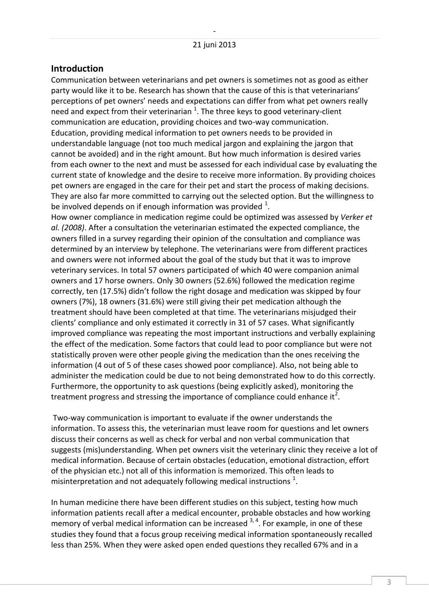#### <span id="page-3-0"></span>**Introduction**

Communication between veterinarians and pet owners is sometimes not as good as either party would like it to be. Research has shown that the cause of this is that veterinarians' perceptions of pet owners' needs and expectations can differ from what pet owners really need and expect from their veterinarian  $^{1}$ . The three keys to good veterinary-client communication are education, providing choices and two-way communication. Education, providing medical information to pet owners needs to be provided in understandable language (not too much medical jargon and explaining the jargon that cannot be avoided) and in the right amount. But how much information is desired varies from each owner to the next and must be assessed for each individual case by evaluating the current state of knowledge and the desire to receive more information. By providing choices pet owners are engaged in the care for their pet and start the process of making decisions. They are also far more committed to carrying out the selected option. But the willingness to be involved depends on if enough information was provided  $^1$ .

How owner compliance in medication regime could be optimized was assessed by *Verker et al. (2008)*. After a consultation the veterinarian estimated the expected compliance, the owners filled in a survey regarding their opinion of the consultation and compliance was determined by an interview by telephone. The veterinarians were from different practices and owners were not informed about the goal of the study but that it was to improve veterinary services. In total 57 owners participated of which 40 were companion animal owners and 17 horse owners. Only 30 owners (52.6%) followed the medication regime correctly, ten (17.5%) didn't follow the right dosage and medication was skipped by four owners (7%), 18 owners (31.6%) were still giving their pet medication although the treatment should have been completed at that time. The veterinarians misjudged their clients' compliance and only estimated it correctly in 31 of 57 cases. What significantly improved compliance was repeating the most important instructions and verbally explaining the effect of the medication. Some factors that could lead to poor compliance but were not statistically proven were other people giving the medication than the ones receiving the information (4 out of 5 of these cases showed poor compliance). Also, not being able to administer the medication could be due to not being demonstrated how to do this correctly. Furthermore, the opportunity to ask questions (being explicitly asked), monitoring the treatment progress and stressing the importance of compliance could enhance it<sup>2</sup>.

Two-way communication is important to evaluate if the owner understands the information. To assess this, the veterinarian must leave room for questions and let owners discuss their concerns as well as check for verbal and non verbal communication that suggests (mis)understanding. When pet owners visit the veterinary clinic they receive a lot of medical information. Because of certain obstacles (education, emotional distraction, effort of the physician etc.) not all of this information is memorized. This often leads to misinterpretation and not adequately following medical instructions  $^{1}$ .

In human medicine there have been different studies on this subject, testing how much information patients recall after a medical encounter, probable obstacles and how working memory of verbal medical information can be increased  $3, 4$ . For example, in one of these studies they found that a focus group receiving medical information spontaneously recalled less than 25%. When they were asked open ended questions they recalled 67% and in a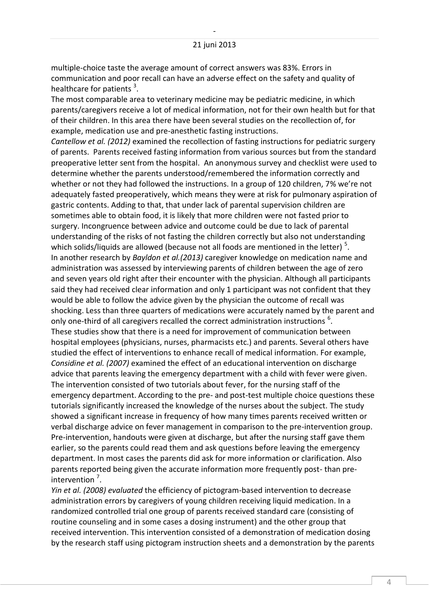multiple-choice taste the average amount of correct answers was 83%. Errors in communication and poor recall can have an adverse effect on the safety and quality of healthcare for patients<sup>3</sup>.

The most comparable area to veterinary medicine may be pediatric medicine, in which parents/caregivers receive a lot of medical information, not for their own health but for that of their children. In this area there have been several studies on the recollection of, for example, medication use and pre-anesthetic fasting instructions.

*Cantellow et al. (2012)* examined the recollection of fasting instructions for pediatric surgery of parents. Parents received fasting information from various sources but from the standard preoperative letter sent from the hospital. An anonymous survey and checklist were used to determine whether the parents understood/remembered the information correctly and whether or not they had followed the instructions. In a group of 120 children, 7% we're not adequately fasted preoperatively, which means they were at risk for pulmonary aspiration of gastric contents. Adding to that, that under lack of parental supervision children are sometimes able to obtain food, it is likely that more children were not fasted prior to surgery. Incongruence between advice and outcome could be due to lack of parental understanding of the risks of not fasting the children correctly but also not understanding which solids/liquids are allowed (because not all foods are mentioned in the letter)  $^5$ . In another research by *Bayldon et al.(2013)* caregiver knowledge on medication name and administration was assessed by interviewing parents of children between the age of zero and seven years old right after their encounter with the physician. Although all participants said they had received clear information and only 1 participant was not confident that they would be able to follow the advice given by the physician the outcome of recall was shocking. Less than three quarters of medications were accurately named by the parent and only one-third of all caregivers recalled the correct administration instructions  $^6$ . These studies show that there is a need for improvement of communication between hospital employees (physicians, nurses, pharmacists etc.) and parents. Several others have studied the effect of interventions to enhance recall of medical information. For example, *Considine et al. (2007)* examined the effect of an educational intervention on discharge advice that parents leaving the emergency department with a child with fever were given. The intervention consisted of two tutorials about fever, for the nursing staff of the emergency department. According to the pre- and post-test multiple choice questions these tutorials significantly increased the knowledge of the nurses about the subject. The study showed a significant increase in frequency of how many times parents received written or verbal discharge advice on fever management in comparison to the pre-intervention group. Pre-intervention, handouts were given at discharge, but after the nursing staff gave them earlier, so the parents could read them and ask questions before leaving the emergency department. In most cases the parents did ask for more information or clarification. Also parents reported being given the accurate information more frequently post- than preintervention<sup>7</sup>.

*Yin et al. (2008) evaluated* the efficiency of pictogram-based intervention to decrease administration errors by caregivers of young children receiving liquid medication. In a randomized controlled trial one group of parents received standard care (consisting of routine counseling and in some cases a dosing instrument) and the other group that received intervention. This intervention consisted of a demonstration of medication dosing by the research staff using pictogram instruction sheets and a demonstration by the parents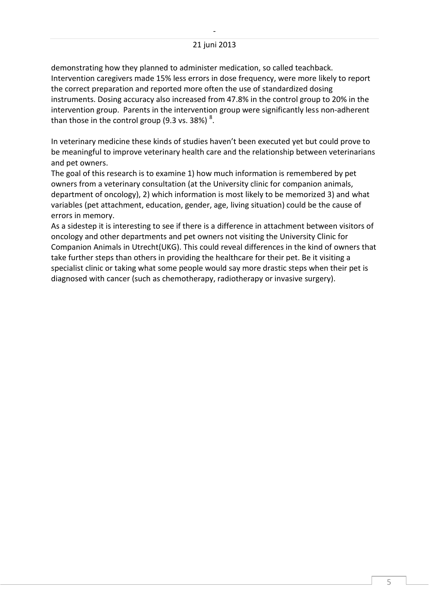#### 21 juni 2013

demonstrating how they planned to administer medication, so called teachback. Intervention caregivers made 15% less errors in dose frequency, were more likely to report the correct preparation and reported more often the use of standardized dosing instruments. Dosing accuracy also increased from 47.8% in the control group to 20% in the intervention group. Parents in the intervention group were significantly less non-adherent than those in the control group (9.3 vs. 38%)  $^{8}$ .

In veterinary medicine these kinds of studies haven't been executed yet but could prove to be meaningful to improve veterinary health care and the relationship between veterinarians and pet owners.

The goal of this research is to examine 1) how much information is remembered by pet owners from a veterinary consultation (at the University clinic for companion animals, department of oncology), 2) which information is most likely to be memorized 3) and what variables (pet attachment, education, gender, age, living situation) could be the cause of errors in memory.

As a sidestep it is interesting to see if there is a difference in attachment between visitors of oncology and other departments and pet owners not visiting the University Clinic for Companion Animals in Utrecht(UKG). This could reveal differences in the kind of owners that take further steps than others in providing the healthcare for their pet. Be it visiting a specialist clinic or taking what some people would say more drastic steps when their pet is diagnosed with cancer (such as chemotherapy, radiotherapy or invasive surgery).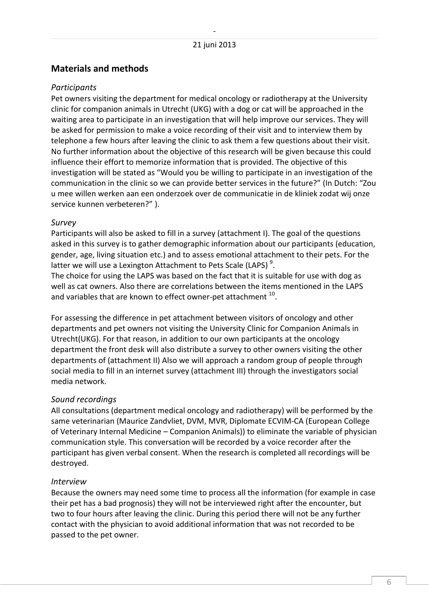# <span id="page-6-0"></span>**Materials and methods**

#### <span id="page-6-1"></span>*Participants*

Pet owners visiting the department for medical oncology or radiotherapy at the University clinic for companion animals in Utrecht (UKG) with a dog or cat will be approached in the waiting area to participate in an investigation that will help improve our services. They will be asked for permission to make a voice recording of their visit and to interview them by telephone a few hours after leaving the clinic to ask them a few questions about their visit. No further information about the objective of this research will be given because this could influence their effort to memorize information that is provided. The objective of this investigation will be stated as "Would you be willing to participate in an investigation of the communication in the clinic so we can provide better services in the future?" (In Dutch: "Zou u mee willen werken aan een onderzoek over de communicatie in de kliniek zodat wij onze service kunnen verbeteren?" ).

#### <span id="page-6-2"></span>*Survey*

Participants will also be asked to fill in a survey (attachment I). The goal of the questions asked in this survey is to gather demographic information about our participants (education, gender, age, living situation etc.) and to assess emotional attachment to their pets. For the latter we will use a Lexington Attachment to Pets Scale (LAPS)<sup>9</sup>.

The choice for using the LAPS was based on the fact that it is suitable for use with dog as well as cat owners. Also there are correlations between the items mentioned in the LAPS and variables that are known to effect owner-pet attachment  $^{10}$ .

For assessing the difference in pet attachment between visitors of oncology and other departments and pet owners not visiting the University Clinic for Companion Animals in Utrecht(UKG). For that reason, in addition to our own participants at the oncology department the front desk will also distribute a survey to other owners visiting the other departments of (attachment II) Also we will approach a random group of people through social media to fill in an internet survey (attachment III) through the investigators social media network.

#### <span id="page-6-3"></span>*Sound recordings*

All consultations (department medical oncology and radiotherapy) will be performed by the same veterinarian (Maurice Zandvliet, DVM, MVR, Diplomate ECVIM-CA (European College of Veterinary Internal Medicine – Companion Animals)) to eliminate the variable of physician communication style. This conversation will be recorded by a voice recorder after the participant has given verbal consent. When the research is completed all recordings will be destroyed.

#### <span id="page-6-4"></span>*Interview*

Because the owners may need some time to process all the information (for example in case their pet has a bad prognosis) they will not be interviewed right after the encounter, but two to four hours after leaving the clinic. During this period there will not be any further contact with the physician to avoid additional information that was not recorded to be passed to the pet owner.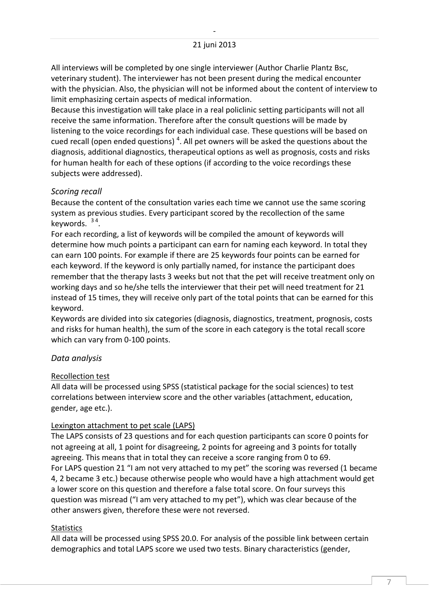#### 21 juni 2013

All interviews will be completed by one single interviewer (Author Charlie Plantz Bsc, veterinary student). The interviewer has not been present during the medical encounter with the physician. Also, the physician will not be informed about the content of interview to limit emphasizing certain aspects of medical information.

Because this investigation will take place in a real policlinic setting participants will not all receive the same information. Therefore after the consult questions will be made by listening to the voice recordings for each individual case. These questions will be based on cued recall (open ended questions)<sup>4</sup>. All pet owners will be asked the questions about the diagnosis, additional diagnostics, therapeutical options as well as prognosis, costs and risks for human health for each of these options (if according to the voice recordings these subjects were addressed).

#### <span id="page-7-0"></span>*Scoring recall*

Because the content of the consultation varies each time we cannot use the same scoring system as previous studies. Every participant scored by the recollection of the same keywords. <sup>34</sup>.

For each recording, a list of keywords will be compiled the amount of keywords will determine how much points a participant can earn for naming each keyword. In total they can earn 100 points. For example if there are 25 keywords four points can be earned for each keyword. If the keyword is only partially named, for instance the participant does remember that the therapy lasts 3 weeks but not that the pet will receive treatment only on working days and so he/she tells the interviewer that their pet will need treatment for 21 instead of 15 times, they will receive only part of the total points that can be earned for this keyword.

Keywords are divided into six categories (diagnosis, diagnostics, treatment, prognosis, costs and risks for human health), the sum of the score in each category is the total recall score which can vary from 0-100 points.

#### <span id="page-7-1"></span>*Data analysis*

#### <span id="page-7-2"></span>Recollection test

All data will be processed using SPSS (statistical package for the social sciences) to test correlations between interview score and the other variables (attachment, education, gender, age etc.).

#### <span id="page-7-3"></span>Lexington attachment to pet scale (LAPS)

The LAPS consists of 23 questions and for each question participants can score 0 points for not agreeing at all, 1 point for disagreeing, 2 points for agreeing and 3 points for totally agreeing. This means that in total they can receive a score ranging from 0 to 69. For LAPS question 21 "I am not very attached to my pet" the scoring was reversed (1 became 4, 2 became 3 etc.) because otherwise people who would have a high attachment would get a lower score on this question and therefore a false total score. On four surveys this question was misread ("I am very attached to my pet"), which was clear because of the other answers given, therefore these were not reversed.

#### <span id="page-7-4"></span>**Statistics**

All data will be processed using SPSS 20.0. For analysis of the possible link between certain demographics and total LAPS score we used two tests. Binary characteristics (gender,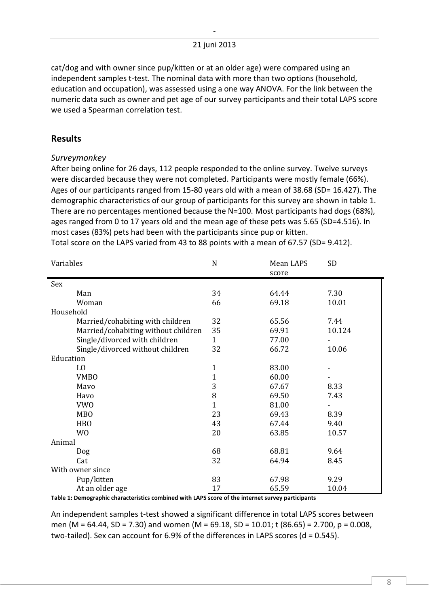cat/dog and with owner since pup/kitten or at an older age) were compared using an independent samples t-test. The nominal data with more than two options (household, education and occupation), was assessed using a one way ANOVA. For the link between the numeric data such as owner and pet age of our survey participants and their total LAPS score we used a Spearman correlation test.

## <span id="page-8-0"></span>**Results**

#### <span id="page-8-1"></span>*Surveymonkey*

After being online for 26 days, 112 people responded to the online survey. Twelve surveys were discarded because they were not completed. Participants were mostly female (66%). Ages of our participants ranged from 15-80 years old with a mean of 38.68 (SD= 16.427). The demographic characteristics of our group of participants for this survey are shown in table 1. There are no percentages mentioned because the N=100. Most participants had dogs (68%), ages ranged from 0 to 17 years old and the mean age of these pets was 5.65 (SD=4.516). In most cases (83%) pets had been with the participants since pup or kitten. Total score on the LAPS varied from 43 to 88 points with a mean of 67.57 (SD= 9.412).

| Variables                           | N            | Mean LAPS<br>score | SD     |
|-------------------------------------|--------------|--------------------|--------|
| Sex                                 |              |                    |        |
| Man                                 | 34           | 64.44              | 7.30   |
| Woman                               | 66           | 69.18              | 10.01  |
| Household                           |              |                    |        |
| Married/cohabiting with children    | 32           | 65.56              | 7.44   |
| Married/cohabiting without children | 35           | 69.91              | 10.124 |
| Single/divorced with children       | $\mathbf{1}$ | 77.00              |        |
| Single/divorced without children    | 32           | 66.72              | 10.06  |
| Education                           |              |                    |        |
| LO                                  | $\mathbf{1}$ | 83.00              |        |
| <b>VMBO</b>                         | $\mathbf{1}$ | 60.00              |        |
| Mayo                                | 3            | 67.67              | 8.33   |
| Havo                                | 8            | 69.50              | 7.43   |
| <b>VWO</b>                          | $\mathbf{1}$ | 81.00              |        |
| <b>MBO</b>                          | 23           | 69.43              | 8.39   |
| <b>HBO</b>                          | 43           | 67.44              | 9.40   |
| W <sub>0</sub>                      | 20           | 63.85              | 10.57  |
| Animal                              |              |                    |        |
| Dog                                 | 68           | 68.81              | 9.64   |
| Cat                                 | 32           | 64.94              | 8.45   |
| With owner since                    |              |                    |        |
| Pup/kitten                          | 83           | 67.98              | 9.29   |
| At an older age                     | 17           | 65.59              | 10.04  |

**Table 1: Demographic characteristics combined with LAPS score of the internet survey participants**

An independent samples t-test showed a significant difference in total LAPS scores between men (M = 64.44, SD = 7.30) and women (M = 69.18, SD = 10.01; t (86.65) = 2.700, p = 0.008, two-tailed). Sex can account for  $6.9%$  of the differences in LAPS scores (d = 0.545).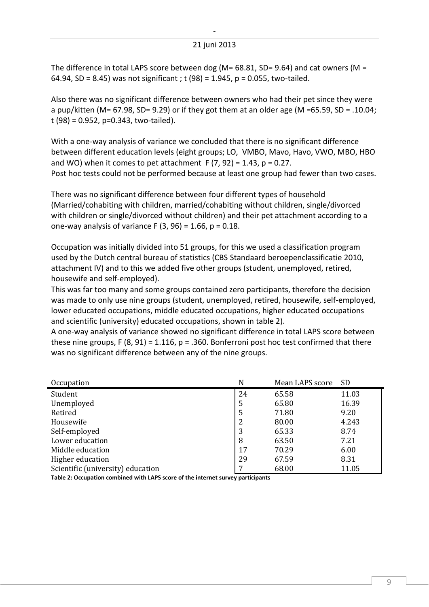#### 21 juni 2013

The difference in total LAPS score between dog (M=  $68.81$ , SD=  $9.64$ ) and cat owners (M = 64.94, SD = 8.45) was not significant ; t (98) = 1.945, p = 0.055, two-tailed.

Also there was no significant difference between owners who had their pet since they were a pup/kitten (M= 67.98, SD= 9.29) or if they got them at an older age (M = 65.59, SD = .10.04; t (98) = 0.952, p=0.343, two-tailed).

With a one-way analysis of variance we concluded that there is no significant difference between different education levels (eight groups; LO, VMBO, Mavo, Havo, VWO, MBO, HBO and WO) when it comes to pet attachment  $F(7, 92) = 1.43$ ,  $p = 0.27$ . Post hoc tests could not be performed because at least one group had fewer than two cases.

There was no significant difference between four different types of household (Married/cohabiting with children, married/cohabiting without children, single/divorced with children or single/divorced without children) and their pet attachment according to a one-way analysis of variance F  $(3, 96) = 1.66$ ,  $p = 0.18$ .

Occupation was initially divided into 51 groups, for this we used a classification program used by the Dutch central bureau of statistics (CBS Standaard beroepenclassificatie 2010, attachment IV) and to this we added five other groups (student, unemployed, retired, housewife and self-employed).

This was far too many and some groups contained zero participants, therefore the decision was made to only use nine groups (student, unemployed, retired, housewife, self-employed, lower educated occupations, middle educated occupations, higher educated occupations and scientific (university) educated occupations, shown in table 2).

A one-way analysis of variance showed no significant difference in total LAPS score between these nine groups, F  $(8, 91) = 1.116$ , p = .360. Bonferroni post hoc test confirmed that there was no significant difference between any of the nine groups.

| Occupation                        | N  | Mean LAPS score | <b>SD</b> |
|-----------------------------------|----|-----------------|-----------|
| Student                           | 24 | 65.58           | 11.03     |
| Unemployed                        | 5  | 65.80           | 16.39     |
| Retired                           | 5  | 71.80           | 9.20      |
| Housewife                         | 2  | 80.00           | 4.243     |
| Self-employed                     | 3  | 65.33           | 8.74      |
| Lower education                   | 8  | 63.50           | 7.21      |
| Middle education                  | 17 | 70.29           | 6.00      |
| Higher education                  | 29 | 67.59           | 8.31      |
| Scientific (university) education |    | 68.00           | 11.05     |
|                                   |    |                 |           |

**Table 2: Occupation combined with LAPS score of the internet survey participants**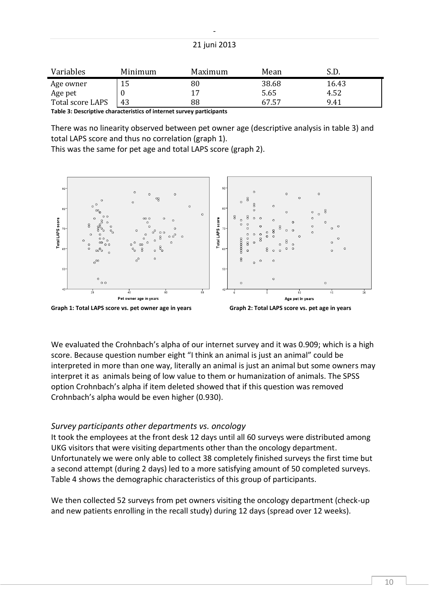| Variables        | Minimum | Maximum | Mean  | .J.D. |
|------------------|---------|---------|-------|-------|
| Age owner        | 15      | 80      | 38.68 | 16.43 |
| Age pet          |         | 17      | 5.65  | 4.52  |
| Total score LAPS | 43      | 88      | 67.57 | 9.41  |

**Table 3: Descriptive characteristics of internet survey participants**

There was no linearity observed between pet owner age (descriptive analysis in table 3) and total LAPS score and thus no correlation (graph 1).

This was the same for pet age and total LAPS score (graph 2).



**Graph 1: Total LAPS score vs. pet owner age in years Graph 2: Total LAPS score vs. pet age in years**



We evaluated the Crohnbach's alpha of our internet survey and it was 0.909; which is a high score. Because question number eight "I think an animal is just an animal" could be interpreted in more than one way, literally an animal is just an animal but some owners may interpret it as animals being of low value to them or humanization of animals. The SPSS option Crohnbach's alpha if item deleted showed that if this question was removed Crohnbach's alpha would be even higher (0.930).

## <span id="page-10-0"></span>*Survey participants other departments vs. oncology*

It took the employees at the front desk 12 days until all 60 surveys were distributed among UKG visitors that were visiting departments other than the oncology department. Unfortunately we were only able to collect 38 completely finished surveys the first time but a second attempt (during 2 days) led to a more satisfying amount of 50 completed surveys. Table 4 shows the demographic characteristics of this group of participants.

We then collected 52 surveys from pet owners visiting the oncology department (check-up and new patients enrolling in the recall study) during 12 days (spread over 12 weeks).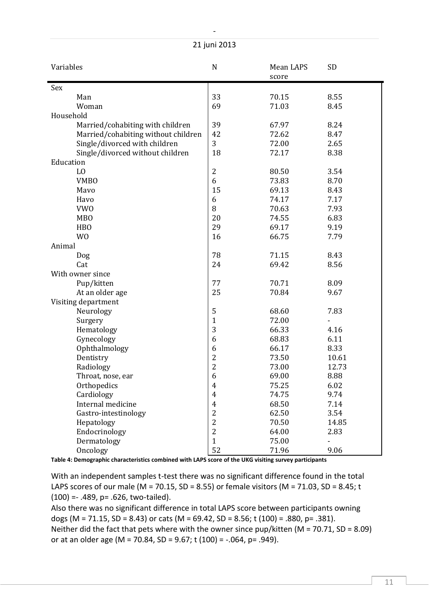| Variables                           | $\mathbf N$    | Mean LAPS<br>score | <b>SD</b> |
|-------------------------------------|----------------|--------------------|-----------|
| Sex                                 |                |                    |           |
| Man                                 | 33             | 70.15              | 8.55      |
| Woman                               | 69             | 71.03              | 8.45      |
| Household                           |                |                    |           |
| Married/cohabiting with children    | 39             | 67.97              | 8.24      |
| Married/cohabiting without children | 42             | 72.62              | 8.47      |
| Single/divorced with children       | 3              | 72.00              | 2.65      |
| Single/divorced without children    | 18             | 72.17              | 8.38      |
| Education                           |                |                    |           |
| L <sub>0</sub>                      | $\overline{2}$ | 80.50              | 3.54      |
| <b>VMBO</b>                         | 6              | 73.83              | 8.70      |
| Mavo                                | 15             | 69.13              | 8.43      |
| Havo                                | 6              | 74.17              | 7.17      |
| <b>VWO</b>                          | 8              | 70.63              | 7.93      |
| <b>MBO</b>                          | 20             | 74.55              | 6.83      |
| <b>HBO</b>                          | 29             | 69.17              | 9.19      |
| W <sub>0</sub>                      | 16             | 66.75              | 7.79      |
| Animal                              |                |                    |           |
| Dog                                 | 78             | 71.15              | 8.43      |
| Cat                                 | 24             | 69.42              | 8.56      |
| With owner since                    |                |                    |           |
| Pup/kitten                          | 77             | 70.71              | 8.09      |
| At an older age                     | 25             | 70.84              | 9.67      |
| Visiting department                 |                |                    |           |
| Neurology                           | 5              | 68.60              | 7.83      |
| Surgery                             | $\mathbf{1}$   | 72.00              |           |
| Hematology                          | 3              | 66.33              | 4.16      |
| Gynecology                          | 6              | 68.83              | 6.11      |
| Ophthalmology                       | 6              | 66.17              | 8.33      |
| Dentistry                           | $\overline{2}$ | 73.50              | 10.61     |
| Radiology                           | $\overline{2}$ | 73.00              | 12.73     |
| Throat, nose, ear                   | 6              | 69.00              | 8.88      |
| Orthopedics                         | $\overline{4}$ | 75.25              | 6.02      |
| Cardiology                          | $\overline{4}$ | 74.75              | 9.74      |
| Internal medicine                   | $\overline{4}$ | 68.50              | 7.14      |
| Gastro-intestinology                | $\overline{c}$ | 62.50              | 3.54      |
| Hepatology                          | $\overline{2}$ | 70.50              | 14.85     |
| Endocrinology                       | $\overline{2}$ | 64.00              | 2.83      |
| Dermatology                         | $\mathbf{1}$   | 75.00              |           |
| Oncology                            | 52             | 71.96              | 9.06      |

**Table 4: Demographic characteristics combined with LAPS score of the UKG visiting survey participants**

With an independent samples t-test there was no significant difference found in the total LAPS scores of our male (M = 70.15, SD = 8.55) or female visitors (M = 71.03, SD = 8.45; t (100) =- .489, p= .626, two-tailed).

Also there was no significant difference in total LAPS score between participants owning dogs (M = 71.15, SD = 8.43) or cats (M = 69.42, SD = 8.56; t (100) = .880, p= .381). Neither did the fact that pets where with the owner since  $pup/kitten$  (M = 70.71, SD = 8.09) or at an older age (M = 70.84, SD = 9.67; t (100) =  $-.064$ , p= .949).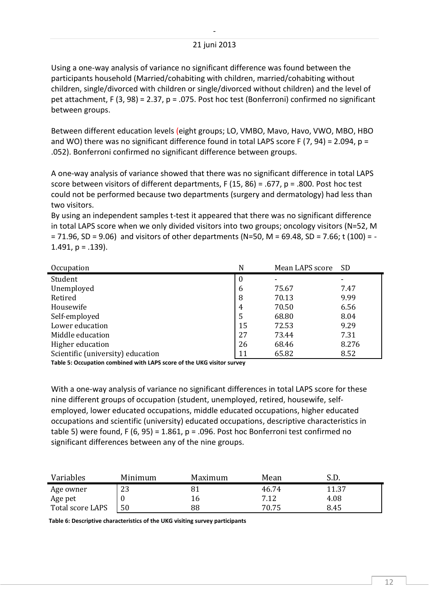Using a one-way analysis of variance no significant difference was found between the participants household (Married/cohabiting with children, married/cohabiting without children, single/divorced with children or single/divorced without children) and the level of pet attachment, F (3, 98) = 2.37, p = .075. Post hoc test (Bonferroni) confirmed no significant between groups.

Between different education levels (eight groups; LO, VMBO, Mavo, Havo, VWO, MBO, HBO and WO) there was no significant difference found in total LAPS score F (7, 94) = 2.094,  $p =$ .052). Bonferroni confirmed no significant difference between groups.

A one-way analysis of variance showed that there was no significant difference in total LAPS score between visitors of different departments, F (15, 86) = .677, p = .800. Post hoc test could not be performed because two departments (surgery and dermatology) had less than two visitors.

By using an independent samples t-test it appeared that there was no significant difference in total LAPS score when we only divided visitors into two groups; oncology visitors (N=52, M  $= 71.96$ , SD = 9.06) and visitors of other departments (N=50, M = 69.48, SD = 7.66; t (100) = - $1.491$ ,  $p = .139$ ).

| Occupation                        | N                | Mean LAPS score | SD.   |
|-----------------------------------|------------------|-----------------|-------|
| Student                           | $\boldsymbol{0}$ |                 |       |
| Unemployed                        | 6                | 75.67           | 7.47  |
| Retired                           | 8                | 70.13           | 9.99  |
| Housewife                         | $\overline{4}$   | 70.50           | 6.56  |
| Self-employed                     | 5                | 68.80           | 8.04  |
| Lower education                   | 15               | 72.53           | 9.29  |
| Middle education                  | 27               | 73.44           | 7.31  |
| Higher education                  | 26               | 68.46           | 8.276 |
| Scientific (university) education | 11               | 65.82           | 8.52  |
|                                   |                  |                 |       |

**Table 5: Occupation combined with LAPS score of the UKG visitor survey**

With a one-way analysis of variance no significant differences in total LAPS score for these nine different groups of occupation (student, unemployed, retired, housewife, selfemployed, lower educated occupations, middle educated occupations, higher educated occupations and scientific (university) educated occupations, descriptive characteristics in table 5) were found, F (6, 95) = 1.861,  $p = .096$ . Post hoc Bonferroni test confirmed no significant differences between any of the nine groups.

| Variables        | Minimum  | Maximum | Mean  | ، ب.  |
|------------------|----------|---------|-------|-------|
| Age owner        | つつ<br>دء |         | 46.74 | 11.37 |
| Age pet          |          |         | 7.12  | 4.08  |
| Total score LAPS | 50       | 88      | 70.75 | 8.45  |

**Table 6: Descriptive characteristics of the UKG visiting survey participants**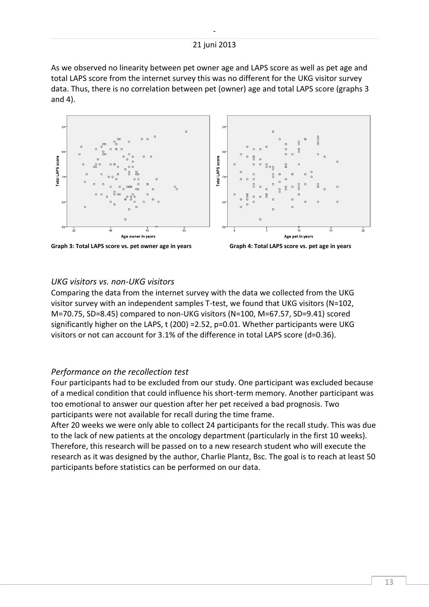As we observed no linearity between pet owner age and LAPS score as well as pet age and total LAPS score from the internet survey this was no different for the UKG visitor survey data. Thus, there is no correlation between pet (owner) age and total LAPS score (graphs 3 and 4).





#### <span id="page-13-0"></span>*UKG visitors vs. non-UKG visitors*

Comparing the data from the internet survey with the data we collected from the UKG visitor survey with an independent samples T-test, we found that UKG visitors (N=102, M=70.75, SD=8.45) compared to non-UKG visitors (N=100, M=67.57, SD=9.41) scored significantly higher on the LAPS,  $t$  (200) = 2.52, p=0.01. Whether participants were UKG visitors or not can account for 3.1% of the difference in total LAPS score (d=0.36).

#### <span id="page-13-1"></span>*Performance on the recollection test*

Four participants had to be excluded from our study. One participant was excluded because of a medical condition that could influence his short-term memory. Another participant was too emotional to answer our question after her pet received a bad prognosis. Two participants were not available for recall during the time frame.

After 20 weeks we were only able to collect 24 participants for the recall study. This was due to the lack of new patients at the oncology department (particularly in the first 10 weeks). Therefore, this research will be passed on to a new research student who will execute the research as it was designed by the author, Charlie Plantz, Bsc. The goal is to reach at least 50 participants before statistics can be performed on our data.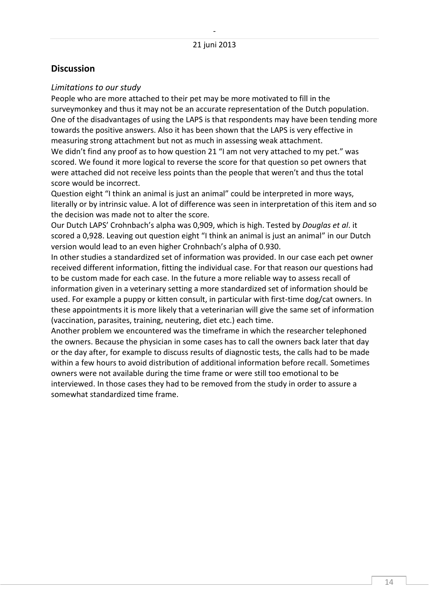## <span id="page-14-0"></span>**Discussion**

#### <span id="page-14-1"></span>*Limitations to our study*

People who are more attached to their pet may be more motivated to fill in the surveymonkey and thus it may not be an accurate representation of the Dutch population. One of the disadvantages of using the LAPS is that respondents may have been tending more towards the positive answers. Also it has been shown that the LAPS is very effective in measuring strong attachment but not as much in assessing weak attachment.

We didn't find any proof as to how question 21 "I am not very attached to my pet." was scored. We found it more logical to reverse the score for that question so pet owners that were attached did not receive less points than the people that weren't and thus the total score would be incorrect.

Question eight "I think an animal is just an animal" could be interpreted in more ways, literally or by intrinsic value. A lot of difference was seen in interpretation of this item and so the decision was made not to alter the score.

Our Dutch LAPS' Crohnbach's alpha was 0,909, which is high. Tested by *Douglas et al*. it scored a 0,928. Leaving out question eight "I think an animal is just an animal" in our Dutch version would lead to an even higher Crohnbach's alpha of 0.930.

In other studies a standardized set of information was provided. In our case each pet owner received different information, fitting the individual case. For that reason our questions had to be custom made for each case. In the future a more reliable way to assess recall of information given in a veterinary setting a more standardized set of information should be used. For example a puppy or kitten consult, in particular with first-time dog/cat owners. In these appointments it is more likely that a veterinarian will give the same set of information (vaccination, parasites, training, neutering, diet etc.) each time.

Another problem we encountered was the timeframe in which the researcher telephoned the owners. Because the physician in some cases has to call the owners back later that day or the day after, for example to discuss results of diagnostic tests, the calls had to be made within a few hours to avoid distribution of additional information before recall. Sometimes owners were not available during the time frame or were still too emotional to be interviewed. In those cases they had to be removed from the study in order to assure a somewhat standardized time frame.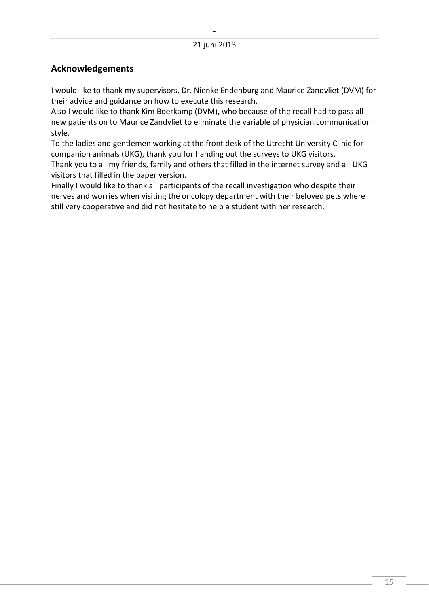# <span id="page-15-0"></span>**Acknowledgements**

I would like to thank my supervisors, Dr. Nienke Endenburg and Maurice Zandvliet (DVM) for their advice and guidance on how to execute this research.

Also I would like to thank Kim Boerkamp (DVM), who because of the recall had to pass all new patients on to Maurice Zandvliet to eliminate the variable of physician communication style.

To the ladies and gentlemen working at the front desk of the Utrecht University Clinic for companion animals (UKG), thank you for handing out the surveys to UKG visitors. Thank you to all my friends, family and others that filled in the internet survey and all UKG visitors that filled in the paper version.

Finally I would like to thank all participants of the recall investigation who despite their nerves and worries when visiting the oncology department with their beloved pets where still very cooperative and did not hesitate to help a student with her research.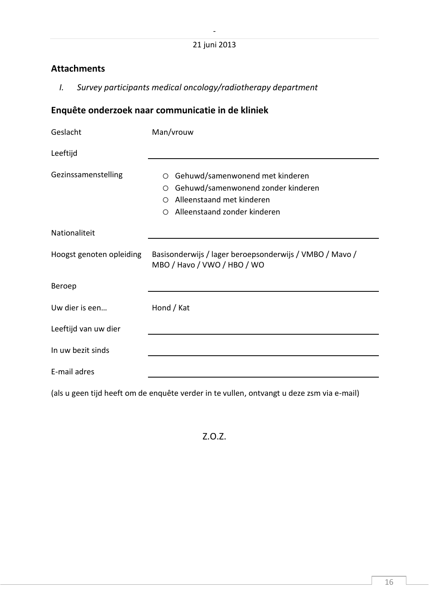# <span id="page-16-0"></span>**Attachments**

<span id="page-16-1"></span>*I. Survey participants medical oncology/radiotherapy department*

# **Enquête onderzoek naar communicatie in de kliniek**

| Geslacht                 | Man/vrouw                                                                                                                                                    |
|--------------------------|--------------------------------------------------------------------------------------------------------------------------------------------------------------|
| Leeftijd                 |                                                                                                                                                              |
| Gezinssamenstelling      | Gehuwd/samenwonend met kinderen<br>$\circ$<br>Gehuwd/samenwonend zonder kinderen<br>O<br>Alleenstaand met kinderen<br>◯<br>Alleenstaand zonder kinderen<br>◯ |
| Nationaliteit            |                                                                                                                                                              |
| Hoogst genoten opleiding | Basisonderwijs / lager beroepsonderwijs / VMBO / Mavo /<br>MBO / Havo / VWO / HBO / WO                                                                       |
| Beroep                   |                                                                                                                                                              |
| Uw dier is een           | Hond / Kat                                                                                                                                                   |
| Leeftijd van uw dier     |                                                                                                                                                              |
| In uw bezit sinds        |                                                                                                                                                              |
| E-mail adres             |                                                                                                                                                              |

(als u geen tijd heeft om de enquête verder in te vullen, ontvangt u deze zsm via e-mail)

Z.O.Z.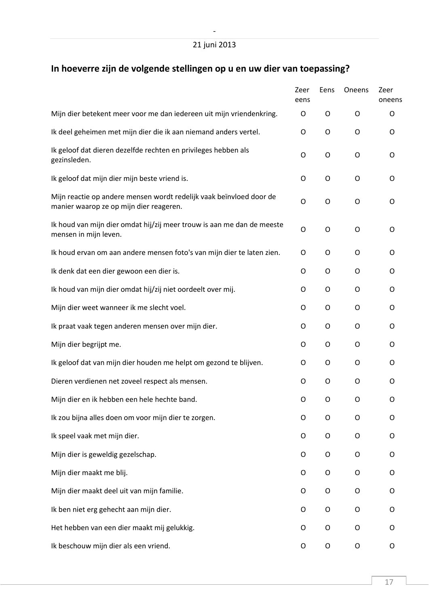# **In hoeverre zijn de volgende stellingen op u en uw dier van toepassing?**

|                                                                                                                | Zeer<br>eens | Eens        | Oneens | Zeer<br>oneens |
|----------------------------------------------------------------------------------------------------------------|--------------|-------------|--------|----------------|
| Mijn dier betekent meer voor me dan iedereen uit mijn vriendenkring.                                           | O            | O           | O      | O              |
| Ik deel geheimen met mijn dier die ik aan niemand anders vertel.                                               | O            | $\mathsf O$ | O      | O              |
| Ik geloof dat dieren dezelfde rechten en privileges hebben als<br>gezinsleden.                                 | O            | O           | O      | O              |
| Ik geloof dat mijn dier mijn beste vriend is.                                                                  | O            | O           | O      | O              |
| Mijn reactie op andere mensen wordt redelijk vaak beïnvloed door de<br>manier waarop ze op mijn dier reageren. | O            | O           | O      | O              |
| Ik houd van mijn dier omdat hij/zij meer trouw is aan me dan de meeste<br>mensen in mijn leven.                | O            | O           | O      | O              |
| Ik houd ervan om aan andere mensen foto's van mijn dier te laten zien.                                         | O            | O           | O      | O              |
| Ik denk dat een dier gewoon een dier is.                                                                       | O            | O           | O      | O              |
| Ik houd van mijn dier omdat hij/zij niet oordeelt over mij.                                                    | O            | O           | O      | O              |
| Mijn dier weet wanneer ik me slecht voel.                                                                      | O            | O           | O      | O              |
| Ik praat vaak tegen anderen mensen over mijn dier.                                                             | O            | $\circ$     | O      | O              |
| Mijn dier begrijpt me.                                                                                         | O            | O           | O      | O              |
| Ik geloof dat van mijn dier houden me helpt om gezond te blijven.                                              | O            | O           | O      | O              |
| Dieren verdienen net zoveel respect als mensen.                                                                | O            | O           | O      | O              |
| Mijn dier en ik hebben een hele hechte band.                                                                   | 0            | O           | O      | Ο              |
| Ik zou bijna alles doen om voor mijn dier te zorgen.                                                           | O            | O           | O      | O              |
| Ik speel vaak met mijn dier.                                                                                   | O            | O           | O      | O              |
| Mijn dier is geweldig gezelschap.                                                                              | O            | O           | O      | O              |
| Mijn dier maakt me blij.                                                                                       | O            | $\circ$     | O      | O              |
| Mijn dier maakt deel uit van mijn familie.                                                                     | 0            | O           | O      | O              |
| Ik ben niet erg gehecht aan mijn dier.                                                                         | O            | O           | O      | O              |
| Het hebben van een dier maakt mij gelukkig.                                                                    | O            | O           | O      | O              |
| Ik beschouw mijn dier als een vriend.                                                                          | 0            | O           | O      | O              |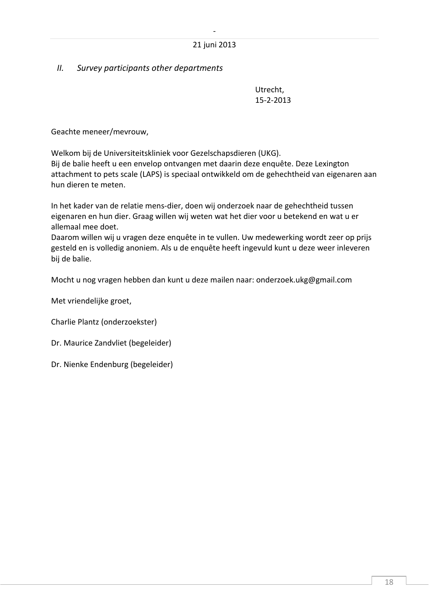## <span id="page-18-0"></span>*II. Survey participants other departments*

Utrecht, 15-2-2013

Geachte meneer/mevrouw,

Welkom bij de Universiteitskliniek voor Gezelschapsdieren (UKG).

Bij de balie heeft u een envelop ontvangen met daarin deze enquête. Deze Lexington attachment to pets scale (LAPS) is speciaal ontwikkeld om de gehechtheid van eigenaren aan hun dieren te meten.

In het kader van de relatie mens-dier, doen wij onderzoek naar de gehechtheid tussen eigenaren en hun dier. Graag willen wij weten wat het dier voor u betekend en wat u er allemaal mee doet.

Daarom willen wij u vragen deze enquête in te vullen. Uw medewerking wordt zeer op prijs gesteld en is volledig anoniem. Als u de enquête heeft ingevuld kunt u deze weer inleveren bij de balie.

Mocht u nog vragen hebben dan kunt u deze mailen naar: onderzoek.ukg@gmail.com

Met vriendelijke groet,

Charlie Plantz (onderzoekster)

Dr. Maurice Zandvliet (begeleider)

Dr. Nienke Endenburg (begeleider)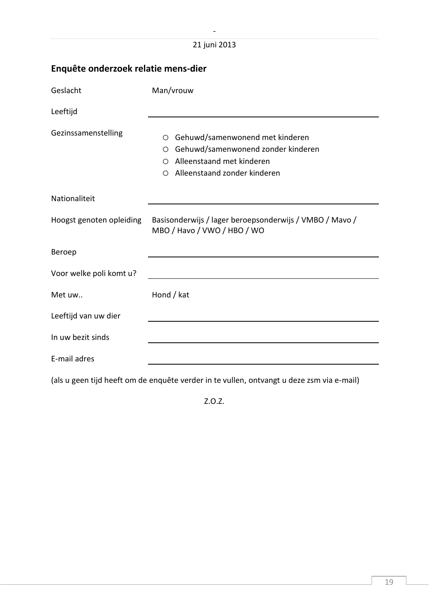# **Enquête onderzoek relatie mens-dier**

| Geslacht                 | Man/vrouw                                                                                                                                                          |
|--------------------------|--------------------------------------------------------------------------------------------------------------------------------------------------------------------|
| Leeftijd                 |                                                                                                                                                                    |
| Gezinssamenstelling      | Gehuwd/samenwonend met kinderen<br>$\circ$<br>Gehuwd/samenwonend zonder kinderen<br>$\circ$<br>Alleenstaand met kinderen<br>◯<br>Alleenstaand zonder kinderen<br>◯ |
| Nationaliteit            |                                                                                                                                                                    |
| Hoogst genoten opleiding | Basisonderwijs / lager beroepsonderwijs / VMBO / Mavo /<br>MBO / Havo / VWO / HBO / WO                                                                             |
| Beroep                   |                                                                                                                                                                    |
| Voor welke poli komt u?  |                                                                                                                                                                    |
| Met uw                   | Hond / kat                                                                                                                                                         |
| Leeftijd van uw dier     |                                                                                                                                                                    |
| In uw bezit sinds        |                                                                                                                                                                    |
| E-mail adres             |                                                                                                                                                                    |

(als u geen tijd heeft om de enquête verder in te vullen, ontvangt u deze zsm via e-mail)

Z.O.Z.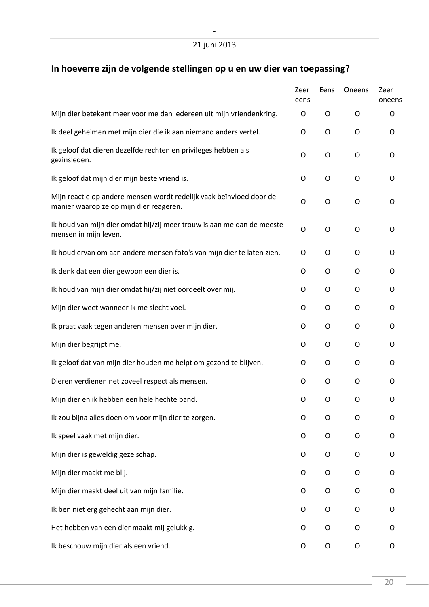# **In hoeverre zijn de volgende stellingen op u en uw dier van toepassing?**

|                                                                                                                | Zeer<br>eens | Eens        | Oneens | Zeer<br>oneens |
|----------------------------------------------------------------------------------------------------------------|--------------|-------------|--------|----------------|
| Mijn dier betekent meer voor me dan iedereen uit mijn vriendenkring.                                           | O            | O           | O      | O              |
| Ik deel geheimen met mijn dier die ik aan niemand anders vertel.                                               | O            | $\mathsf O$ | O      | O              |
| Ik geloof dat dieren dezelfde rechten en privileges hebben als<br>gezinsleden.                                 | O            | O           | O      | O              |
| Ik geloof dat mijn dier mijn beste vriend is.                                                                  | O            | O           | O      | O              |
| Mijn reactie op andere mensen wordt redelijk vaak beïnvloed door de<br>manier waarop ze op mijn dier reageren. | O            | O           | O      | O              |
| Ik houd van mijn dier omdat hij/zij meer trouw is aan me dan de meeste<br>mensen in mijn leven.                | O            | O           | O      | O              |
| Ik houd ervan om aan andere mensen foto's van mijn dier te laten zien.                                         | O            | O           | O      | O              |
| Ik denk dat een dier gewoon een dier is.                                                                       | 0            | O           | O      | O              |
| Ik houd van mijn dier omdat hij/zij niet oordeelt over mij.                                                    | O            | O           | O      | O              |
| Mijn dier weet wanneer ik me slecht voel.                                                                      | 0            | O           | O      | O              |
| Ik praat vaak tegen anderen mensen over mijn dier.                                                             | O            | $\circ$     | O      | 0              |
| Mijn dier begrijpt me.                                                                                         | O            | O           | 0      | O              |
| Ik geloof dat van mijn dier houden me helpt om gezond te blijven.                                              | O            | O           | O      | O              |
| Dieren verdienen net zoveel respect als mensen.                                                                | O            | O           | O      | O              |
| Mijn dier en ik hebben een hele hechte band.                                                                   | 0            | O           | O      | O              |
| Ik zou bijna alles doen om voor mijn dier te zorgen.                                                           | O            | O           | O      | O              |
| Ik speel vaak met mijn dier.                                                                                   | O            | O           | O      | O              |
| Mijn dier is geweldig gezelschap.                                                                              | O            | O           | O      | O              |
| Mijn dier maakt me blij.                                                                                       | O            | O           | O      | O              |
| Mijn dier maakt deel uit van mijn familie.                                                                     | 0            | O           | O      | O              |
| Ik ben niet erg gehecht aan mijn dier.                                                                         | O            | $\circ$     | O      | O              |
| Het hebben van een dier maakt mij gelukkig.                                                                    | O            | O           | O      | O              |
| Ik beschouw mijn dier als een vriend.                                                                          | 0            | $\mathsf O$ | O      | O              |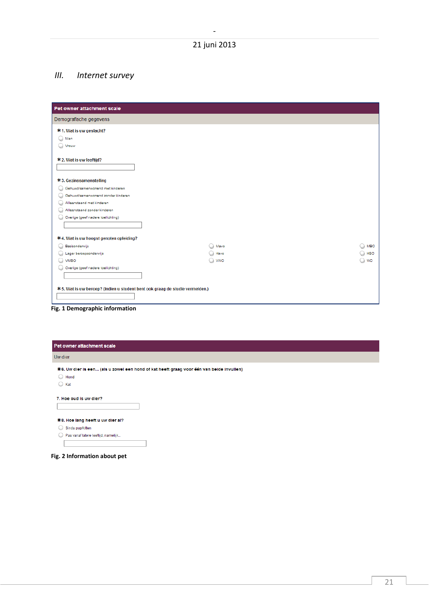## <span id="page-21-0"></span>*III. Internet survey*

| Pet owner attachment scale                                                    |            |            |
|-------------------------------------------------------------------------------|------------|------------|
| Demografische gegevens                                                        |            |            |
| * 1. Wat is uw geslacht?                                                      |            |            |
| $\bigcirc$ Man                                                                |            |            |
| O<br>Vrouw                                                                    |            |            |
| * 2. Wat is uw leeftijd?                                                      |            |            |
| * 3. Gezinssamenstelling                                                      |            |            |
| $\circ$<br>Gehuwd/samenwonend met kinderen                                    |            |            |
| Gehuwd/samenwonend zonder kinderen                                            |            |            |
| Alleenstaand met kinderen                                                     |            |            |
| Alleenstaand zonder kinderen                                                  |            |            |
| Overige (geef nadere toelichting)                                             |            |            |
| * 4. Wat is uw hoogst genoten opleiding?                                      |            |            |
| Basisonderwijs                                                                | Mayo       | <b>MBO</b> |
| Lager beroepsonderwijs                                                        | Havo       | <b>HBO</b> |
| O VMBO                                                                        | <b>VWO</b> | <b>WO</b>  |
| Overige (geef nadere toelichting)                                             |            |            |
|                                                                               |            |            |
| * 5. Wat is uw beroep? (Indien u student bent ook graag de studie vermelden.) |            |            |
|                                                                               |            |            |
|                                                                               |            |            |

| Pet owner attachment scale                                                                |
|-------------------------------------------------------------------------------------------|
| Uw dier                                                                                   |
| * 6. Uw dier is een (als u zowel een hond of kat heeft graag voor één van beide invullen) |
| $\bigcirc$ Hond                                                                           |
| $\bigcirc$ Kat                                                                            |
| *8. Hoe lang heeft u uw dier al?                                                          |
| Sinds pup/kitten                                                                          |
| Pas vanaf latere leeftijd, namelijk                                                       |
|                                                                                           |
| Fig. 2 Information about pet                                                              |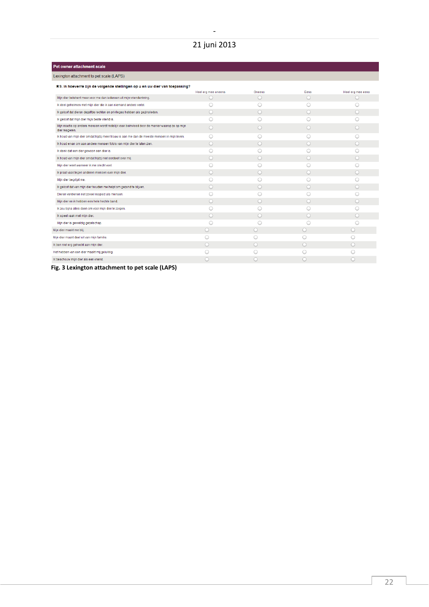# 21 juni 2013

| ve owno againment ovar                                                                                         |                     |            |            |                   |  |
|----------------------------------------------------------------------------------------------------------------|---------------------|------------|------------|-------------------|--|
| Lexington attachment to pet scale (LAPS)                                                                       |                     |            |            |                   |  |
| *9. In hoeverre zijn de volgende stellingen op u en uw dier van toepassing?                                    |                     |            |            |                   |  |
|                                                                                                                | Heel erg mee oneens | Oneens     | Eens       | Heel erg mee eens |  |
| Mijn dier betekent meer voor me dan iedereen uit mijn vriendenkring.                                           | $\circ$             | $\circ$    | $\circ$    | $\circ$           |  |
| Ik deel geheimen met mijn dier die ik aan niemand anders vertel.                                               |                     |            |            |                   |  |
| Ik geloof dat dieren dezelfde rechten en privileges hebben als gezinsleden.                                    | C                   | $\bigcirc$ | $\circ$    |                   |  |
| Ik geloof dat mijn dier mijn beste vriend is.                                                                  |                     |            |            |                   |  |
| Mijn reactie op andere mensen wordt redelijk vaak beïnvloed door de manier waarop ze op mijn<br>dier reageren. | a                   | $\bigcirc$ | $\circ$    |                   |  |
| Ik houd van mijn dier omdat hij/zij meer trouw is aan me dan de meeste mensen in mijn leven.                   | a                   |            |            |                   |  |
| Ik houd ervan om aan andere mensen foto's van mijn dier te laten zien.                                         | O                   | ∩          | $\bigcirc$ |                   |  |
| Ik denk dat een dier gewoon een dier is.                                                                       |                     |            |            |                   |  |
| Ik houd van mijn dier omdat hij/zij niet oordeelt over mij.                                                    | O                   | O          | $\bigcirc$ |                   |  |
| Mijn dier weet wanneer ik me slecht voel.                                                                      |                     |            |            |                   |  |
| Ik praat vaak tegen anderen mensen over mijn dier.                                                             | O                   | $\bigcap$  | $\bigcirc$ |                   |  |
| Mijn dier begrijpt me.                                                                                         |                     |            |            |                   |  |
| Ik geloof dat van mijn dier houden me helpt om gezond te blijven.                                              | a                   | $\cup$     | $\bigcirc$ |                   |  |
| Dieren verdienen net zoveel respect als mensen.                                                                |                     |            |            |                   |  |
| Mijn dier en ik hebben een hele hechte band.                                                                   | C                   | ∩          | $\bigcirc$ |                   |  |
| Ik zou bijna alles doen om voor mijn dier te zorgen.                                                           |                     |            |            |                   |  |
| Ik speel vaak met mijn dier.                                                                                   | C                   | $\bigcap$  | $\circ$    |                   |  |
| Mijn dier is geweldig gezelschap.                                                                              | C                   |            |            |                   |  |
| Mijn dier maakt me blij.                                                                                       | O                   | $\bigcirc$ | ○          | $\bigcirc$        |  |
| Mijn dier maakt deel uit van mijn familie.                                                                     |                     |            |            |                   |  |
| Ik ben niet erg gehecht aan mijn dier.                                                                         | C                   | $\bigcirc$ | ○          |                   |  |
| Het hebben van een dier maakt mij gelukkig.                                                                    |                     |            |            |                   |  |
| Ik beschouw mijn dier als een vriend.                                                                          |                     | O          | a          |                   |  |
|                                                                                                                |                     |            |            |                   |  |

**Fig. 3 Lexington attachment to pet scale (LAPS)**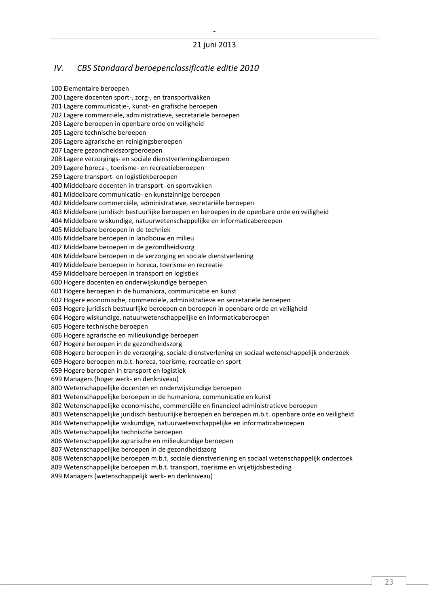#### <span id="page-23-0"></span>*IV. CBS Standaard beroepenclassificatie editie 2010*

100 Elementaire beroepen 200 Lagere docenten sport-, zorg-, en transportvakken 201 Lagere communicatie-, kunst- en grafische beroepen 202 Lagere commerciële, administratieve, secretariële beroepen 203 Lagere beroepen in openbare orde en veiligheid 205 Lagere technische beroepen 206 Lagere agrarische en reinigingsberoepen 207 Lagere gezondheidszorgberoepen 208 Lagere verzorgings- en sociale dienstverleningsberoepen 209 Lagere horeca-, toerisme- en recreatieberoepen 259 Lagere transport- en logistiekberoepen 400 Middelbare docenten in transport- en sportvakken 401 Middelbare communicatie- en kunstzinnige beroepen 402 Middelbare commerciële, administratieve, secretariële beroepen 403 Middelbare juridisch bestuurlijke beroepen en beroepen in de openbare orde en veiligheid 404 Middelbare wiskundige, natuurwetenschappelijke en informaticaberoepen 405 Middelbare beroepen in de techniek 406 Middelbare beroepen in landbouw en milieu 407 Middelbare beroepen in de gezondheidszorg 408 Middelbare beroepen in de verzorging en sociale dienstverlening 409 Middelbare beroepen in horeca, toerisme en recreatie 459 Middelbare beroepen in transport en logistiek 600 Hogere docenten en onderwijskundige beroepen 601 Hogere beroepen in de humaniora, communicatie en kunst 602 Hogere economische, commerciële, administratieve en secretariële beroepen 603 Hogere juridisch bestuurlijke beroepen en beroepen in openbare orde en veiligheid 604 Hogere wiskundige, natuurwetenschappelijke en informaticaberoepen 605 Hogere technische beroepen 606 Hogere agrarische en milieukundige beroepen 607 Hogere beroepen in de gezondheidszorg 608 Hogere beroepen in de verzorging, sociale dienstverlening en sociaal wetenschappelijk onderzoek 609 Hogere beroepen m.b.t. horeca, toerisme, recreatie en sport 659 Hogere beroepen in transport en logistiek 699 Managers (hoger werk- en denkniveau) 800 Wetenschappelijke docenten en onderwijskundige beroepen 801 Wetenschappelijke beroepen in de humaniora, communicatie en kunst 802 Wetenschappelijke economische, commerciële en financieel administratieve beroepen 803 Wetenschappelijke juridisch bestuurlijke beroepen en beroepen m.b.t. openbare orde en veiligheid 804 Wetenschappelijke wiskundige, natuurwetenschappelijke en informaticaberoepen 805 Wetenschappelijke technische beroepen 806 Wetenschappelijke agrarische en milieukundige beroepen 807 Wetenschappelijke beroepen in de gezondheidszorg

808 Wetenschappelijke beroepen m.b.t. sociale dienstverlening en sociaal wetenschappelijk onderzoek

809 Wetenschappelijke beroepen m.b.t. transport, toerisme en vrijetijdsbesteding

899 Managers (wetenschappelijk werk- en denkniveau)